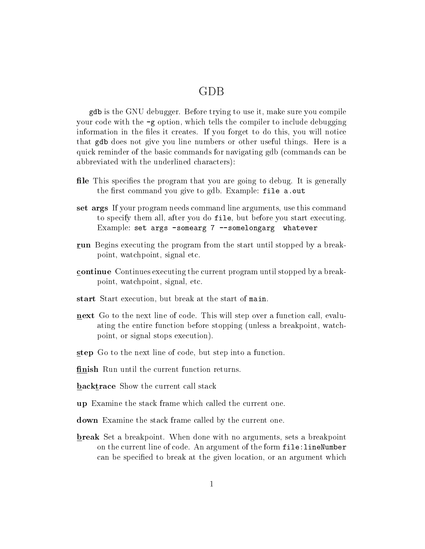## GDB

gdb is the GNU debugger. Before trying to use it, make sure you compile your code with the -g option, which tells the compiler to include debugging information in the files it creates. If you forget to do this, you will notice that gdb does not give you line numbers or other useful things. Here is a quick reminder of the basic commands for navigating gdb (commands can be abbreviated with the underlined characters):

- file This specifies the program that you are going to debug. It is generally the first command you give to gdb. Example: file a.out
- set args If your program needs command line arguments, use this command to specify them all, after you do file, but before you start executing. Example: set args -somearg 7 --somelongarg whatever
- run Begins executing the program from the start until stopped by a breakpoint, watchpoint, signal etc.
- continue Continues executing the current program until stopped by a breakpoint, watchpoint, signal, etc.
- start Start execution, but break at the start of main.
- next Go to the next line of code. This will step over a function call, evaluating the entire function before stopping (unless a breakpoint, watchpoint, or signal stops execution).
- step Go to the next line of code, but step into a function.
- finish Run until the current function returns.
- **backtrace** Show the current call stack
- up Examine the stack frame which called the current one.
- down Examine the stack frame called by the current one.
- **break** Set a breakpoint. When done with no arguments, sets a breakpoint on the current line of code. An argument of the form file: lineNumber can be specied to break at the given location, or an argument which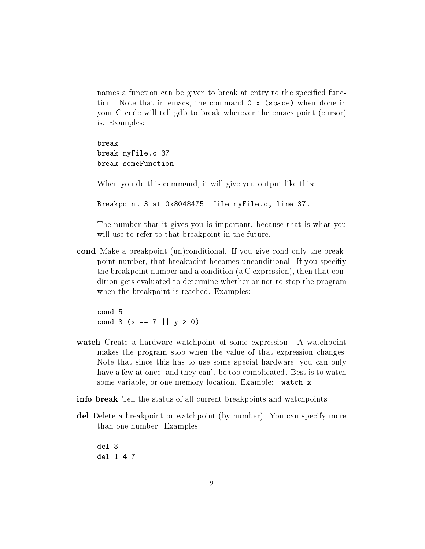names a function can be given to break at entry to the specified function. Note that in emacs, the command C x (space) when done in your C code will tell gdb to break wherever the emacs point (cursor) is. Examples:

break break myFile.c:37 break someFunction

When you do this command, it will give you output like this:

Breakpoint 3 at 0x8048475: file myFile.c, line 37.

The number that it gives you is important, because that is what you will use to refer to that breakpoint in the future.

cond Make a breakpoint (un)conditional. If you give cond only the breakpoint number, that breakpoint becomes unconditional. If you speciy the breakpoint number and a condition (a C expression), then that condition gets evaluated to determine whether or not to stop the program when the breakpoint is reached. Examples:

cond 5 cond 3 (x == 7 ||  $y > 0$ )

- watch Create a hardware watchpoint of some expression. A watchpoint makes the program stop when the value of that expression changes. Note that since this has to use some special hardware, you can only have a few at once, and they can't be too complicated. Best is to watch some variable, or one memory location. Example: watch x
- info break Tell the status of all current breakpoints and watchpoints.
- del Delete a breakpoint or watchpoint (by number). You can specify more than one number. Examples:

del 3 del 1 4 7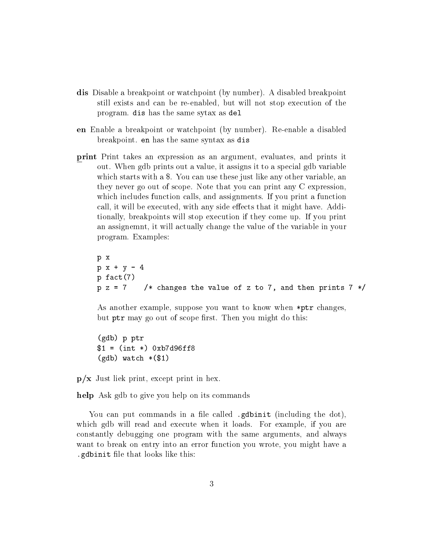- dis Disable a breakpoint or watchpoint (by number). A disabled breakpoint still exists and can be re-enabled, but will not stop execution of the program. dis has the same sytax as del
- en Enable a breakpoint or watchpoint (by number). Re-enable a disabled breakpoint. en has the same syntax as dis
- print Print takes an expression as an argument, evaluates, and prints it out. When gdb prints out a value, it assigns it to a special gdb variable which starts with a \$. You can use these just like any other variable, an they never go out of scope. Note that you can print any C expression, which includes function calls, and assignments. If you print a function call, it will be executed, with any side effects that it might have. Additionally, breakpoints will stop execution if they come up. If you print an assignemnt, it will actually change the value of the variable in your program. Examples:

```
p x
p x + y - 4p fact(7)
p \, z = 7 /* changes the value of z to 7, and then prints 7 \cdot x/
```
As another example, suppose you want to know when \*ptr changes, but ptr may go out of scope first. Then you might do this:

(gdb) p ptr \$1 = (int \*) 0xb7d96ff8  $(gdb)$  watch  $*(\$1)$ 

 $p/x$  Just liek print, except print in hex.

help Ask gdb to give you help on its commands

You can put commands in a file called .gdbinit (including the dot), which gdb will read and execute when it loads. For example, if you are constantly debugging one program with the same arguments, and always want to break on entry into an error function you wrote, you might have a edbinit file that looks like this: